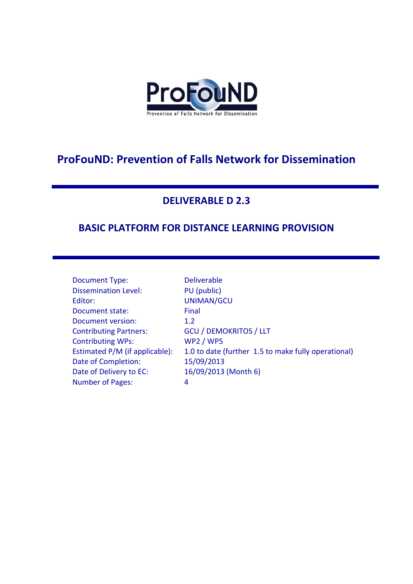

# **ProFouND: Prevention of Falls Network for Dissemination**

#### **DELIVERABLE D 2.3**

## **BASIC PLATFORM FOR DISTANCE LEARNING PROVISION**

| Document Type:                 | <b>Deliverable</b>                                  |
|--------------------------------|-----------------------------------------------------|
| <b>Dissemination Level:</b>    | PU (public)                                         |
| Editor:                        | <b>UNIMAN/GCU</b>                                   |
| Document state:                | Final                                               |
| Document version:              | 1.2                                                 |
| <b>Contributing Partners:</b>  | <b>GCU / DEMOKRITOS / LLT</b>                       |
| <b>Contributing WPs:</b>       | <b>WP2 / WP5</b>                                    |
| Estimated P/M (if applicable): | 1.0 to date (further 1.5 to make fully operational) |
| Date of Completion:            | 15/09/2013                                          |
| Date of Delivery to EC:        | 16/09/2013 (Month 6)                                |
| <b>Number of Pages:</b>        | 4                                                   |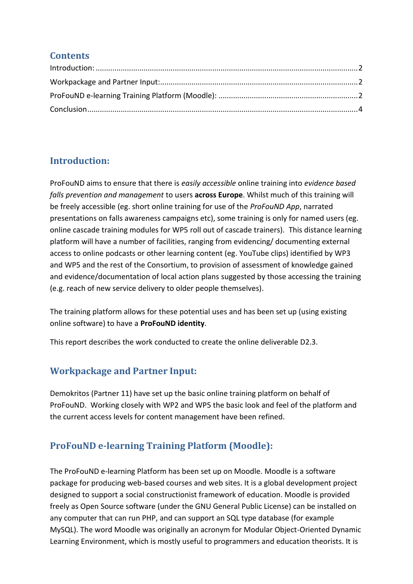#### **Contents**

## <span id="page-1-0"></span>**Introduction:**

ProFouND aims to ensure that there is *easily accessible* online training into *evidence based falls prevention and management* to users **across Europe**. Whilst much of this training will be freely accessible (eg. short online training for use of the *ProFouND App*, narrated presentations on falls awareness campaigns etc), some training is only for named users (eg. online cascade training modules for WP5 roll out of cascade trainers). This distance learning platform will have a number of facilities, ranging from evidencing/ documenting external access to online podcasts or other learning content (eg. YouTube clips) identified by WP3 and WP5 and the rest of the Consortium, to provision of assessment of knowledge gained and evidence/documentation of local action plans suggested by those accessing the training (e.g. reach of new service delivery to older people themselves).

The training platform allows for these potential uses and has been set up (using existing online software) to have a **ProFouND identity**.

This report describes the work conducted to create the online deliverable D2.3.

## <span id="page-1-1"></span>**Workpackage and Partner Input:**

Demokritos (Partner 11) have set up the basic online training platform on behalf of ProFouND. Working closely with WP2 and WP5 the basic look and feel of the platform and the current access levels for content management have been refined.

## <span id="page-1-2"></span>**ProFouND e-learning Training Platform (Moodle):**

The ProFouND e-learning Platform has been set up on Moodle. Moodle is a software package for producing web-based courses and web sites. It is a global development project designed to support a social constructionist framework of education. Moodle is provided freely as Open Source software (under the GNU General Public License) can be installed on any computer that can run PHP, and can support an SQL type database (for example MySQL). The word Moodle was originally an acronym for Modular Object-Oriented Dynamic Learning Environment, which is mostly useful to programmers and education theorists. It is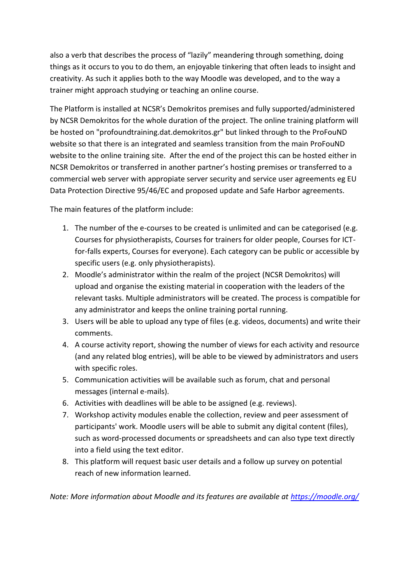also a verb that describes the process of "lazily" meandering through something, doing things as it occurs to you to do them, an enjoyable tinkering that often leads to insight and creativity. As such it applies both to the way Moodle was developed, and to the way a trainer might approach studying or teaching an online course.

The Platform is installed at NCSR's Demokritos premises and fully supported/administered by NCSR Demokritos for the whole duration of the project. The online training platform will be hosted on "profoundtraining.dat.demokritos.gr" but linked through to the ProFouND website so that there is an integrated and seamless transition from the main ProFouND website to the online training site. After the end of the project this can be hosted either in NCSR Demokritos or transferred in another partner's hosting premises or transferred to a commercial web server with appropiate server security and service user agreements eg EU Data Protection Directive 95/46/EC and proposed update and Safe Harbor agreements.

The main features of the platform include:

- 1. The number of the e-courses to be created is unlimited and can be categorised (e.g. Courses for physiotherapists, Courses for trainers for older people, Courses for ICTfor-falls experts, Courses for everyone). Each category can be public or accessible by specific users (e.g. only physiotherapists).
- 2. Moodle's administrator within the realm of the project (NCSR Demokritos) will upload and organise the existing material in cooperation with the leaders of the relevant tasks. Multiple administrators will be created. The process is compatible for any administrator and keeps the online training portal running.
- 3. Users will be able to upload any type of files (e.g. videos, documents) and write their comments.
- 4. A course activity report, showing the number of views for each activity and resource (and any related blog entries), will be able to be viewed by administrators and users with specific roles.
- 5. Communication activities will be available such as forum, chat and personal messages (internal e-mails).
- 6. Activities with deadlines will be able to be assigned (e.g. reviews).
- 7. Workshop activity modules enable the collection, review and peer assessment of participants' work. Moodle users will be able to submit any digital content (files), such as word-processed documents or spreadsheets and can also type text directly into a field using the text editor.
- 8. This platform will request basic user details and a follow up survey on potential reach of new information learned.

*Note: More information about Moodle and its features are available at<https://moodle.org/>*